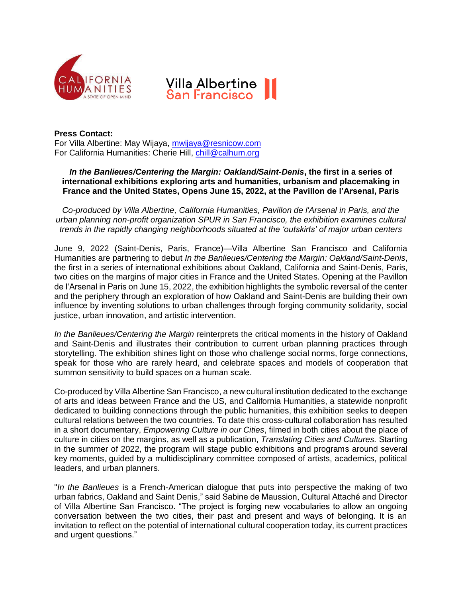



**Press Contact:** For Villa Albertine: May Wijaya, [mwijaya@resnicow.com](mailto:mwijaya@resnicow.com) For California Humanities: Cherie Hill, [chill@calhum.org](mailto:chill@calhum.org)

## *In the Banlieues/Centering the Margin: Oakland/Saint-Denis***, the first in a series of international exhibitions exploring arts and humanities, urbanism and placemaking in France and the United States, Opens June 15, 2022, at the Pavillon de l'Arsenal, Paris**

*Co-produced by Villa Albertine, California Humanities, Pavillon de l'Arsenal in Paris, and the urban planning non-profit organization SPUR in San Francisco, the exhibition examines cultural trends in the rapidly changing neighborhoods situated at the 'outskirts' of major urban centers* 

June 9, 2022 (Saint-Denis, Paris, France)—Villa Albertine San Francisco and California Humanities are partnering to debut *In the Banlieues/Centering the Margin: Oakland/Saint-Denis*, the first in a series of international exhibitions about Oakland, California and Saint-Denis, Paris, two cities on the margins of major cities in France and the United States. Opening at the Pavillon de l'Arsenal in Paris on June 15, 2022, the exhibition highlights the symbolic reversal of the center and the periphery through an exploration of how Oakland and Saint-Denis are building their own influence by inventing solutions to urban challenges through forging community solidarity, social justice, urban innovation, and artistic intervention.

*In the Banlieues/Centering the Margin* reinterprets the critical moments in the history of Oakland and Saint-Denis and illustrates their contribution to current urban planning practices through storytelling. The exhibition shines light on those who challenge social norms, forge connections, speak for those who are rarely heard, and celebrate spaces and models of cooperation that summon sensitivity to build spaces on a human scale.

Co-produced by Villa Albertine San Francisco, a new cultural institution dedicated to the exchange of arts and ideas between France and the US, and California Humanities, a statewide nonprofit dedicated to building connections through the public humanities, this exhibition seeks to deepen cultural relations between the two countries. To date this cross-cultural collaboration has resulted in a short documentary, *Empowering Culture in our Cities*, filmed in both cities about the place of culture in cities on the margins, as well as a publication, *Translating Cities and Cultures.* Starting in the summer of 2022, the program will stage public exhibitions and programs around several key moments, guided by a multidisciplinary committee composed of artists, academics, political leaders, and urban planners.

"*In the Banlieues* is a French-American dialogue that puts into perspective the making of two urban fabrics, Oakland and Saint Denis," said Sabine de Maussion, Cultural Attaché and Director of Villa Albertine San Francisco. "The project is forging new vocabularies to allow an ongoing conversation between the two cities, their past and present and ways of belonging. It is an invitation to reflect on the potential of international cultural cooperation today, its current practices and urgent questions."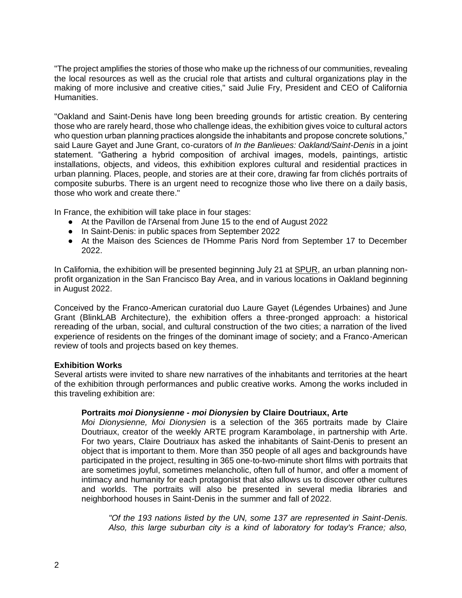"The project amplifies the stories of those who make up the richness of our communities, revealing the local resources as well as the crucial role that artists and cultural organizations play in the making of more inclusive and creative cities," said Julie Fry, President and CEO of California Humanities.

"Oakland and Saint-Denis have long been breeding grounds for artistic creation. By centering those who are rarely heard, those who challenge ideas, the exhibition gives voice to cultural actors who question urban planning practices alongside the inhabitants and propose concrete solutions," said Laure Gayet and June Grant, co-curators of *In the Banlieues: Oakland/Saint-Denis* in a joint statement. "Gathering a hybrid composition of archival images, models, paintings, artistic installations, objects, and videos, this exhibition explores cultural and residential practices in urban planning. Places, people, and stories are at their core, drawing far from clichés portraits of composite suburbs. There is an urgent need to recognize those who live there on a daily basis, those who work and create there."

In France, the exhibition will take place in four stages:

- At the Pavillon de l'Arsenal from June 15 to the end of August 2022
- In Saint-Denis: in public spaces from September 2022
- At the Maison des Sciences de l'Homme Paris Nord from September 17 to December 2022.

In California, the exhibition will be presented beginning July 21 at SPUR, an urban planning nonprofit organization in the San Francisco Bay Area, and in various locations in Oakland beginning in August 2022.

Conceived by the Franco-American curatorial duo Laure Gayet (Légendes Urbaines) and June Grant (BlinkLAB Architecture), the exhibition offers a three-pronged approach: a historical rereading of the urban, social, and cultural construction of the two cities; a narration of the lived experience of residents on the fringes of the dominant image of society; and a Franco-American review of tools and projects based on key themes.

## **Exhibition Works**

Several artists were invited to share new narratives of the inhabitants and territories at the heart of the exhibition through performances and public creative works. Among the works included in this traveling exhibition are:

## **Portraits** *moi Dionysienne - moi Dionysien* **by Claire Doutriaux, Arte**

*Moi Dionysienne, Moi Dionysien* is a selection of the 365 portraits made by Claire Doutriaux, creator of the weekly ARTE program Karambolage, in partnership with Arte. For two years, Claire Doutriaux has asked the inhabitants of Saint-Denis to present an object that is important to them. More than 350 people of all ages and backgrounds have participated in the project, resulting in 365 one-to-two-minute short films with portraits that are sometimes joyful, sometimes melancholic, often full of humor, and offer a moment of intimacy and humanity for each protagonist that also allows us to discover other cultures and worlds. The portraits will also be presented in several media libraries and neighborhood houses in Saint-Denis in the summer and fall of 2022.

*"Of the 193 nations listed by the UN, some 137 are represented in Saint-Denis. Also, this large suburban city is a kind of laboratory for today's France; also,*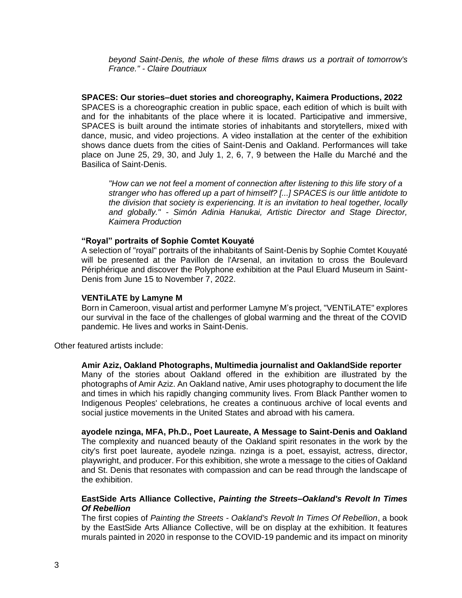*beyond Saint-Denis, the whole of these films draws us a portrait of tomorrow's France." - Claire Doutriaux*

**SPACES: Our stories–duet stories and choreography, Kaimera Productions, 2022** SPACES is a choreographic creation in public space, each edition of which is built with and for the inhabitants of the place where it is located. Participative and immersive, SPACES is built around the intimate stories of inhabitants and storytellers, mixed with dance, music, and video projections. A video installation at the center of the exhibition shows dance duets from the cities of Saint-Denis and Oakland. Performances will take place on June 25, 29, 30, and July 1, 2, 6, 7, 9 between the Halle du Marché and the Basilica of Saint-Denis.

*"How can we not feel a moment of connection after listening to this life story of a stranger who has offered up a part of himself? [...] SPACES is our little antidote to the division that society is experiencing. It is an invitation to heal together, locally and globally." - Simón Adinia Hanukai, Artistic Director and Stage Director, Kaimera Production*

#### **"Royal" portraits of Sophie Comtet Kouyaté**

A selection of "royal" portraits of the inhabitants of Saint-Denis by Sophie Comtet Kouyaté will be presented at the Pavillon de l'Arsenal, an invitation to cross the Boulevard Périphérique and discover the Polyphone exhibition at the Paul Eluard Museum in Saint-Denis from June 15 to November 7, 2022.

#### **VENTiLATE by Lamyne M**

Born in Cameroon, visual artist and performer Lamyne M's project, "VENTiLATE" explores our survival in the face of the challenges of global warming and the threat of the COVID pandemic. He lives and works in Saint-Denis.

Other featured artists include:

#### **Amir Aziz, Oakland Photographs, Multimedia journalist and OaklandSide reporter**

Many of the stories about Oakland offered in the exhibition are illustrated by the photographs of Amir Aziz. An Oakland native, Amir uses photography to document the life and times in which his rapidly changing community lives. From Black Panther women to Indigenous Peoples' celebrations, he creates a continuous archive of local events and social justice movements in the United States and abroad with his camera.

**ayodele nzinga, MFA, Ph.D., Poet Laureate, A Message to Saint-Denis and Oakland** The complexity and nuanced beauty of the Oakland spirit resonates in the work by the city's first poet laureate, ayodele nzinga. nzinga is a poet, essayist, actress, director, playwright, and producer. For this exhibition, she wrote a message to the cities of Oakland and St. Denis that resonates with compassion and can be read through the landscape of the exhibition.

### **EastSide Arts Alliance Collective,** *Painting the Streets–Oakland's Revolt In Times Of Rebellion*

The first copies of *Painting the Streets - Oakland's Revolt In Times Of Rebellion*, a book by the EastSide Arts Alliance Collective, will be on display at the exhibition. It features murals painted in 2020 in response to the COVID-19 pandemic and its impact on minority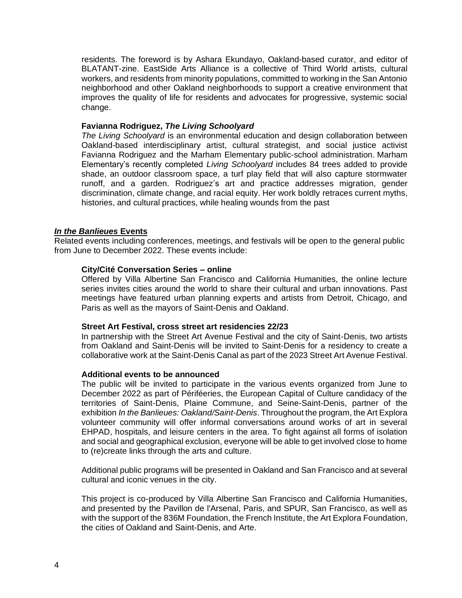residents. The foreword is by Ashara Ekundayo, Oakland-based curator, and editor of BLATANT-zine. EastSide Arts Alliance is a collective of Third World artists, cultural workers, and residents from minority populations, committed to working in the San Antonio neighborhood and other Oakland neighborhoods to support a creative environment that improves the quality of life for residents and advocates for progressive, systemic social change.

## **Favianna Rodriguez,** *The Living Schoolyard*

*The Living Schoolyard* is an environmental education and design collaboration between Oakland-based interdisciplinary artist, cultural strategist, and social justice activist Favianna Rodriguez and the Marham Elementary public-school administration. Marham Elementary's recently completed *Living Schoolyard* includes 84 trees added to provide shade, an outdoor classroom space, a turf play field that will also capture stormwater runoff, and a garden. Rodriguez's art and practice addresses migration, gender discrimination, climate change, and racial equity. Her work boldly retraces current myths, histories, and cultural practices, while healing wounds from the past

# *In the Banlieues* **Events**

Related events including conferences, meetings, and festivals will be open to the general public from June to December 2022. These events include:

## **City/Cité Conversation Series – online**

Offered by Villa Albertine San Francisco and California Humanities, the online lecture series invites cities around the world to share their cultural and urban innovations. Past meetings have featured urban planning experts and artists from Detroit, Chicago, and Paris as well as the mayors of Saint-Denis and Oakland.

## **Street Art Festival, cross street art residencies 22/23**

In partnership with the Street Art Avenue Festival and the city of Saint-Denis, two artists from Oakland and Saint-Denis will be invited to Saint-Denis for a residency to create a collaborative work at the Saint-Denis Canal as part of the 2023 Street Art Avenue Festival.

### **Additional events to be announced**

The public will be invited to participate in the various events organized from June to December 2022 as part of Périféeries, the European Capital of Culture candidacy of the territories of Saint-Denis, Plaine Commune, and Seine-Saint-Denis, partner of the exhibition *In the Banlieues: Oakland/Saint-Denis*. Throughout the program, the Art Explora volunteer community will offer informal conversations around works of art in several EHPAD, hospitals, and leisure centers in the area. To fight against all forms of isolation and social and geographical exclusion, everyone will be able to get involved close to home to (re)create links through the arts and culture.

Additional public programs will be presented in Oakland and San Francisco and at several cultural and iconic venues in the city.

This project is co-produced by Villa Albertine San Francisco and California Humanities, and presented by the Pavillon de l'Arsenal, Paris, and SPUR, San Francisco, as well as with the support of the 836M Foundation, the French Institute, the Art Explora Foundation, the cities of Oakland and Saint-Denis, and Arte.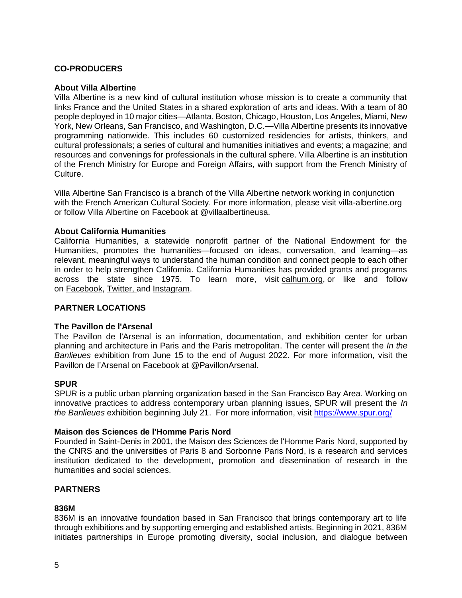# **CO-PRODUCERS**

# **About Villa Albertine**

Villa Albertine is a new kind of cultural institution whose mission is to create a community that links France and the United States in a shared exploration of arts and ideas. With a team of 80 people deployed in 10 major cities—Atlanta, Boston, Chicago, Houston, Los Angeles, Miami, New York, New Orleans, San Francisco, and Washington, D.C.—Villa Albertine presents its innovative programming nationwide. This includes 60 customized residencies for artists, thinkers, and cultural professionals; a series of cultural and humanities initiatives and events; a magazine; and resources and convenings for professionals in the cultural sphere. Villa Albertine is an institution of the French Ministry for Europe and Foreign Affairs, with support from the French Ministry of Culture.

Villa Albertine San Francisco is a branch of the Villa Albertine network working in conjunction with the French American Cultural Society. For more information, please visit villa-albertine.org or follow Villa Albertine on Facebook at @villaalbertineusa*.*

# **About California Humanities**

California Humanities, a statewide nonprofit partner of the National Endowment for the Humanities, promotes the humanities—focused on ideas, conversation, and learning—as relevant, meaningful ways to understand the human condition and connect people to each other in order to help strengthen California. California Humanities has provided grants and programs across the state since 1975. To learn more, visit [calhum.org,](https://calhum.org/) or like and follow on [Facebook,](https://www.facebook.com/calhumanities/) [Twitter,](https://twitter.com/Cal_Humanities) and [Instagram.](https://www.instagram.com/california_humanities/)

# **PARTNER LOCATIONS**

## **The Pavillon de l'Arsenal**

The Pavillon de l'Arsenal is an information, documentation, and exhibition center for urban planning and architecture in Paris and the Paris metropolitan. The center will present the *In the Banlieues* exhibition from June 15 to the end of August 2022. For more information, visit the Pavillon de l'Arsenal on Facebook at @PavillonArsenal.

## **SPUR**

SPUR is a public urban planning organization based in the San Francisco Bay Area. Working on innovative practices to address contemporary urban planning issues, SPUR will present the *In the Banlieues* exhibition beginning July 21. For more information, visit [https://www.](https://www/)spur.org/

## **Maison des Sciences de l'Homme Paris Nord**

Founded in Saint-Denis in 2001, the Maison des Sciences de l'Homme Paris Nord, supported by the CNRS and the universities of Paris 8 and Sorbonne Paris Nord, is a research and services institution dedicated to the development, promotion and dissemination of research in the humanities and social sciences.

# **PARTNERS**

# **836M**

836M is an innovative foundation based in San Francisco that brings contemporary art to life through exhibitions and by supporting emerging and established artists. Beginning in 2021, 836M initiates partnerships in Europe promoting diversity, social inclusion, and dialogue between